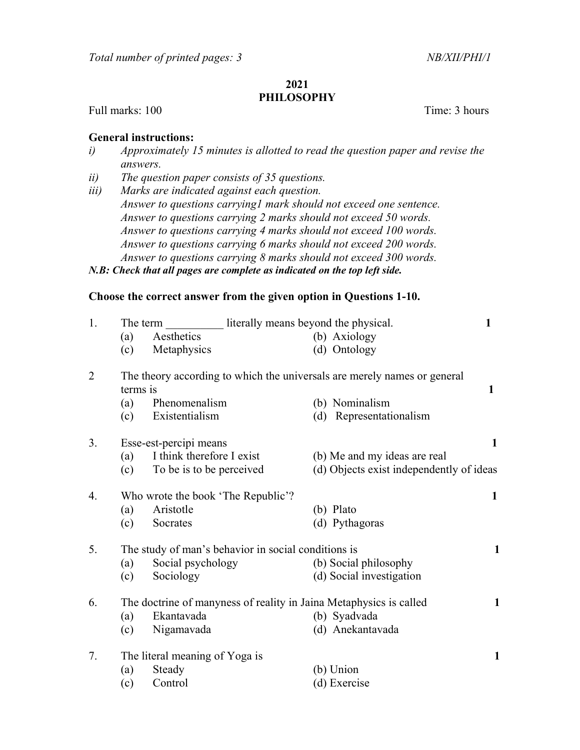## 2021 PHILOSOPHY

Full marks: 100 Time: 3 hours

## General instructions:

- i) Approximately 15 minutes is allotted to read the question paper and revise the answers.
- ii) The question paper consists of 35 questions.
- iii) Marks are indicated against each question. Answer to questions carrying1 mark should not exceed one sentence. Answer to questions carrying 2 marks should not exceed 50 words. Answer to questions carrying 4 marks should not exceed 100 words. Answer to questions carrying 6 marks should not exceed 200 words. Answer to questions carrying 8 marks should not exceed 300 words.

## N.B: Check that all pages are complete as indicated on the top left side.

## Choose the correct answer from the given option in Questions 1-10.

| 1.             | literally means beyond the physical.<br>The term                                     |                                |                                          | 1            |
|----------------|--------------------------------------------------------------------------------------|--------------------------------|------------------------------------------|--------------|
|                | (a)                                                                                  | Aesthetics                     | (b) Axiology                             |              |
|                | (c)                                                                                  | Metaphysics                    | (d) Ontology                             |              |
| $\overline{2}$ | The theory according to which the universals are merely names or general<br>terms is |                                |                                          | $\mathbf{1}$ |
|                | (a)                                                                                  | Phenomenalism                  | (b) Nominalism                           |              |
|                | (c)                                                                                  | Existentialism                 | (d) Representationalism                  |              |
| 3.             |                                                                                      | Esse-est-percipi means         |                                          | 1            |
|                | (a)                                                                                  | I think therefore I exist      | (b) Me and my ideas are real             |              |
|                | (c)                                                                                  | To be is to be perceived       | (d) Objects exist independently of ideas |              |
| 4.             | Who wrote the book 'The Republic'?                                                   |                                |                                          |              |
|                | (a)                                                                                  | Aristotle                      | (b) Plato                                |              |
|                | (c)                                                                                  | Socrates                       | (d) Pythagoras                           |              |
| 5.             | The study of man's behavior in social conditions is                                  |                                |                                          |              |
|                | (a)                                                                                  | Social psychology              | (b) Social philosophy                    |              |
|                | (c)                                                                                  | Sociology                      | (d) Social investigation                 |              |
| 6.             | The doctrine of manyness of reality in Jaina Metaphysics is called                   |                                |                                          |              |
|                | (a)                                                                                  | Ekantavada                     | (b) Syadvada                             |              |
|                | (c)                                                                                  | Nigamavada                     | (d) Anekantavada                         |              |
| 7.             |                                                                                      | The literal meaning of Yoga is |                                          | $\mathbf{1}$ |
|                | (a)                                                                                  | Steady                         | (b) Union                                |              |
|                | (c)                                                                                  | Control                        | (d) Exercise                             |              |
|                |                                                                                      |                                |                                          |              |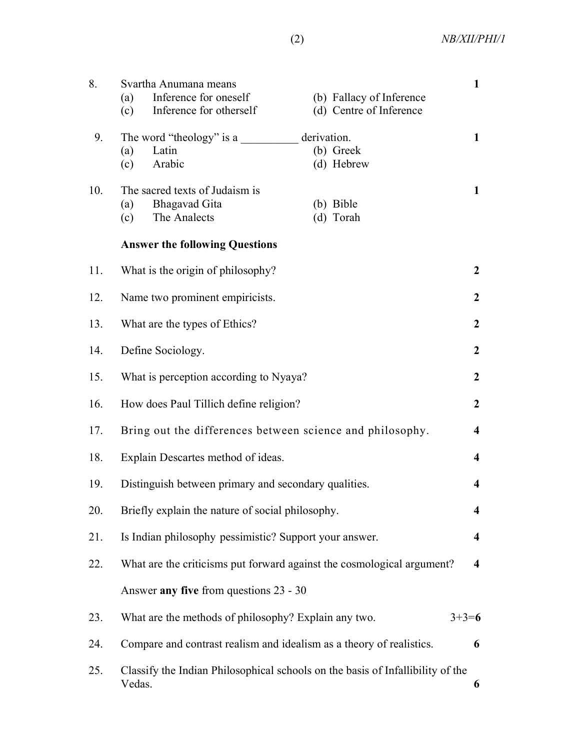(2) NB/XII/PHI/1

| 8.  | Svartha Anumana means<br>Inference for oneself<br>(b) Fallacy of Inference<br>(a)<br>(d) Centre of Inference<br>Inference for otherself<br>(c) | $\mathbf{1}$            |  |  |  |
|-----|------------------------------------------------------------------------------------------------------------------------------------------------|-------------------------|--|--|--|
| 9.  | derivation.<br>The word "theology" is a<br>(b) Greek<br>Latin<br>(a)<br>(c)<br>Arabic<br>(d) Hebrew                                            | $\mathbf{1}$            |  |  |  |
| 10. | The sacred texts of Judaism is<br>Bhagavad Gita<br>(b) Bible<br>(a)<br>The Analects<br>(d) Torah<br>(c)                                        | $\mathbf{1}$            |  |  |  |
|     | <b>Answer the following Questions</b>                                                                                                          |                         |  |  |  |
| 11. | What is the origin of philosophy?                                                                                                              |                         |  |  |  |
| 12. | Name two prominent empiricists.                                                                                                                |                         |  |  |  |
| 13. | What are the types of Ethics?                                                                                                                  |                         |  |  |  |
| 14. | Define Sociology.                                                                                                                              |                         |  |  |  |
| 15. | What is perception according to Nyaya?                                                                                                         |                         |  |  |  |
| 16. | How does Paul Tillich define religion?                                                                                                         |                         |  |  |  |
| 17. | Bring out the differences between science and philosophy.                                                                                      |                         |  |  |  |
| 18. | Explain Descartes method of ideas.                                                                                                             |                         |  |  |  |
| 19. | Distinguish between primary and secondary qualities.                                                                                           |                         |  |  |  |
| 20. | Briefly explain the nature of social philosophy.                                                                                               |                         |  |  |  |
| 21. | Is Indian philosophy pessimistic? Support your answer.<br>$\overline{\mathbf{4}}$                                                              |                         |  |  |  |
| 22. | What are the criticisms put forward against the cosmological argument?                                                                         | $\overline{\mathbf{4}}$ |  |  |  |
|     | Answer any five from questions 23 - 30                                                                                                         |                         |  |  |  |
| 23. | What are the methods of philosophy? Explain any two.<br>$3+3=6$                                                                                |                         |  |  |  |
| 24. | Compare and contrast realism and idealism as a theory of realistics.                                                                           | 6                       |  |  |  |
| 25. | Classify the Indian Philosophical schools on the basis of Infallibility of the<br>Vedas.<br>6                                                  |                         |  |  |  |